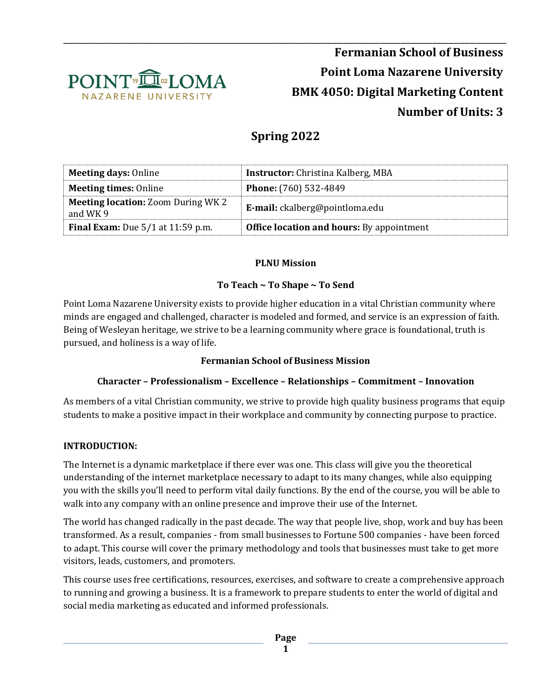

\_\_\_\_\_\_\_\_\_\_\_\_\_\_\_\_\_\_\_\_\_\_\_\_\_\_\_\_\_\_\_\_\_\_\_\_\_\_\_\_\_\_\_\_\_\_\_\_\_\_\_\_\_\_\_\_\_\_\_\_\_\_\_\_\_\_\_\_\_\_\_\_\_\_\_\_\_\_\_\_\_\_\_\_ **Fermanian School of Business Point Loma Nazarene University BMK 4050: Digital Marketing Content Number of Units: 3**

# **Spring 2022**

| <b>Meeting days: Online</b>                           | <b>Instructor:</b> Christina Kalberg, MBA        |
|-------------------------------------------------------|--------------------------------------------------|
| <b>Meeting times: Online</b>                          | <b>Phone:</b> (760) 532-4849                     |
| <b>Meeting location:</b> Zoom During WK 2<br>and WK 9 | E-mail: ckalberg@pointloma.edu                   |
| <b>Final Exam:</b> Due $5/1$ at $11:59$ p.m.          | <b>Office location and hours:</b> By appointment |

#### **PLNU Mission**

#### **To Teach ~ To Shape ~ To Send**

Point Loma Nazarene University exists to provide higher education in a vital Christian community where minds are engaged and challenged, character is modeled and formed, and service is an expression of faith. Being of Wesleyan heritage, we strive to be a learning community where grace is foundational, truth is pursued, and holiness is a way of life.

### **Fermanian School of Business Mission**

### **Character – Professionalism – Excellence – Relationships – Commitment – Innovation**

As members of a vital Christian community, we strive to provide high quality business programs that equip students to make a positive impact in their workplace and community by connecting purpose to practice.

#### **INTRODUCTION:**

The Internet is a dynamic marketplace if there ever was one. This class will give you the theoretical understanding of the internet marketplace necessary to adapt to its many changes, while also equipping you with the skills you'll need to perform vital daily functions. By the end of the course, you will be able to walk into any company with an online presence and improve their use of the Internet.

The world has changed radically in the past decade. The way that people live, shop, work and buy has been transformed. As a result, companies - from small businesses to Fortune 500 companies - have been forced to adapt. This course will cover the primary methodology and tools that businesses must take to get more visitors, leads, customers, and promoters.

This course uses free certifications, resources, exercises, and software to create a comprehensive approach to running and growing a business. It is a framework to prepare students to enter the world of digital and social media marketing as educated and informed professionals.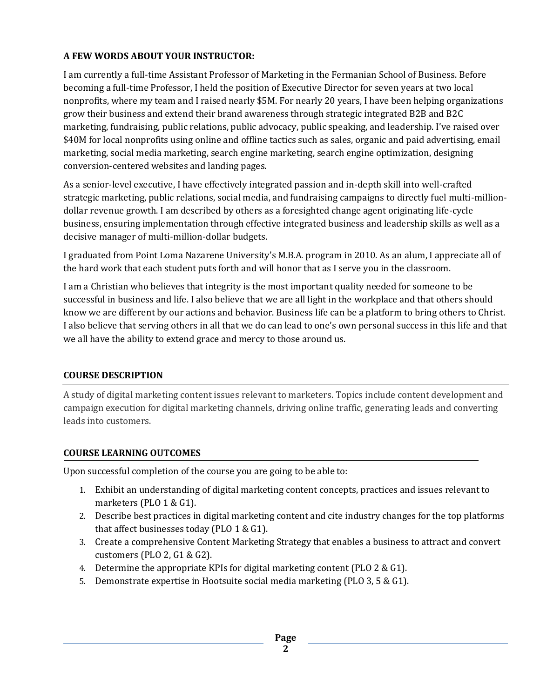### **A FEW WORDS ABOUT YOUR INSTRUCTOR:**

I am currently a full-time Assistant Professor of Marketing in the Fermanian School of Business. Before becoming a full-time Professor, I held the position of Executive Director for seven years at two local nonprofits, where my team and I raised nearly \$5M. For nearly 20 years, I have been helping organizations grow their business and extend their brand awareness through strategic integrated B2B and B2C marketing, fundraising, public relations, public advocacy, public speaking, and leadership. I've raised over \$40M for local nonprofits using online and offline tactics such as sales, organic and paid advertising, email marketing, social media marketing, search engine marketing, search engine optimization, designing conversion-centered websites and landing pages.

As a senior-level executive, I have effectively integrated passion and in-depth skill into well-crafted strategic marketing, public relations, social media, and fundraising campaigns to directly fuel multi-milliondollar revenue growth. I am described by others as a foresighted change agent originating life-cycle business, ensuring implementation through effective integrated business and leadership skills as well as a decisive manager of multi-million-dollar budgets.

I graduated from Point Loma Nazarene University's M.B.A. program in 2010. As an alum, I appreciate all of the hard work that each student puts forth and will honor that as I serve you in the classroom.

I am a Christian who believes that integrity is the most important quality needed for someone to be successful in business and life. I also believe that we are all light in the workplace and that others should know we are different by our actions and behavior. Business life can be a platform to bring others to Christ. I also believe that serving others in all that we do can lead to one's own personal success in this life and that we all have the ability to extend grace and mercy to those around us.

# **COURSE DESCRIPTION**

A study of digital marketing content issues relevant to marketers. Topics include content development and campaign execution for digital marketing channels, driving online traffic, generating leads and converting leads into customers.

### **COURSE LEARNING OUTCOMES**

Upon successful completion of the course you are going to be able to:

- 1. Exhibit an understanding of digital marketing content concepts, practices and issues relevant to marketers (PLO 1 & G1).
- 2. Describe best practices in digital marketing content and cite industry changes for the top platforms that affect businesses today (PLO 1 & G1).
- 3. Create a comprehensive Content Marketing Strategy that enables a business to attract and convert customers (PLO 2, G1 & G2).
- 4. Determine the appropriate KPIs for digital marketing content (PLO 2 & G1).
- 5. Demonstrate expertise in Hootsuite social media marketing (PLO 3, 5 & G1).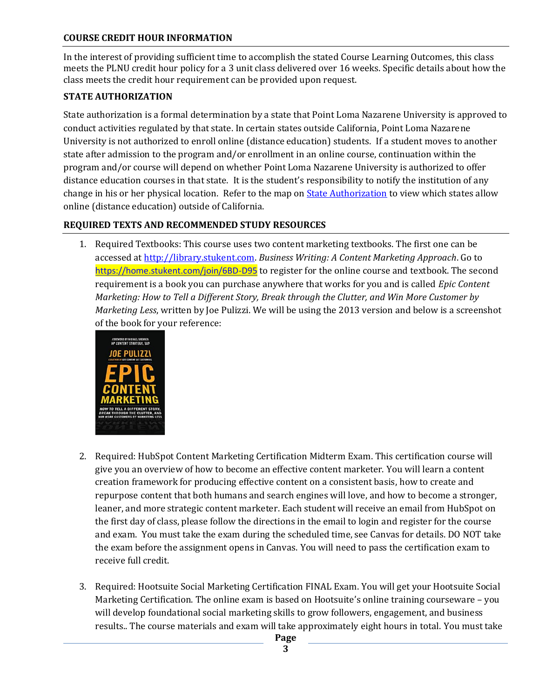#### **COURSE CREDIT HOUR INFORMATION**

In the interest of providing sufficient time to accomplish the stated Course Learning Outcomes, this class meets the PLNU credit hour policy for a 3 unit class delivered over 16 weeks. Specific details about how the class meets the credit hour requirement can be provided upon request.

### **STATE AUTHORIZATION**

State authorization is a formal determination by a state that Point Loma Nazarene University is approved to conduct activities regulated by that state. In certain states outside California, Point Loma Nazarene University is not authorized to enroll online (distance education) students. If a student moves to another state after admission to the program and/or enrollment in an online course, continuation within the program and/or course will depend on whether Point Loma Nazarene University is authorized to offer distance education courses in that state. It is the student's responsibility to notify the institution of any change in his or her physical location. Refer to the map on **State Authorization** to view which states allow online (distance education) outside of California.

# **REQUIRED TEXTS AND RECOMMENDED STUDY RESOURCES**

1. Required Textbooks: This course uses two content marketing textbooks. The first one can be accessed at [http://library.stukent.com.](http://library.stukent.com/) *Business Writing: A Content Marketing Approach*. Go to <https://home.stukent.com/join/6BD-D95> to register for the online course and textbook. The second requirement is a book you can purchase anywhere that works for you and is called *Epic Content Marketing: How to Tell a Different Story, Break through the Clutter, and Win More Customer by Marketing Less*, written by Joe Pulizzi. We will be using the 2013 version and below is a screenshot of the book for your reference:



- 2. Required: HubSpot Content Marketing Certification Midterm Exam. This certification course will give you an overview of how to become an effective content marketer. You will learn a content creation framework for producing effective content on a consistent basis, how to create and repurpose content that both humans and search engines will love, and how to become a stronger, leaner, and more strategic content marketer. Each student will receive an email from HubSpot on the first day of class, please follow the directions in the email to login and register for the course and exam. You must take the exam during the scheduled time, see Canvas for details. DO NOT take the exam before the assignment opens in Canvas. You will need to pass the certification exam to receive full credit.
- 3. Required: Hootsuite Social Marketing Certification FINAL Exam. You will get your Hootsuite Social Marketing Certification. The online exam is based on Hootsuite's online training courseware – you will develop foundational social marketing skills to grow followers, engagement, and business results.. The course materials and exam will take approximately eight hours in total. You must take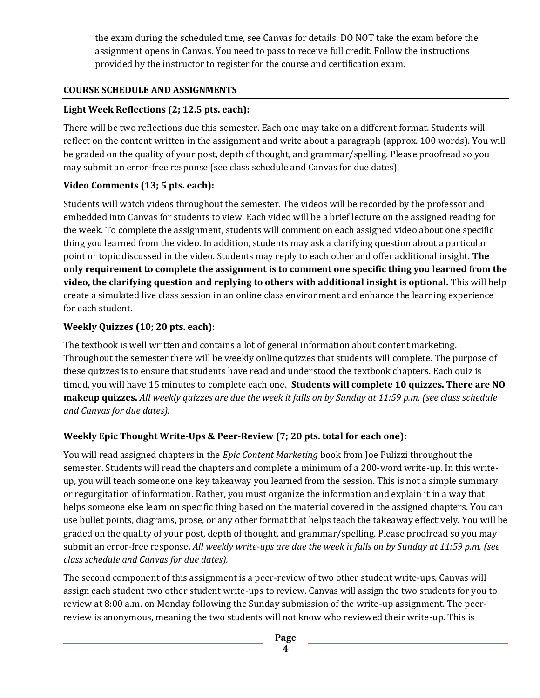the exam during the scheduled time, see Canvas for details. DO NOT take the exam before the assignment opens in Canvas. You need to pass to receive full credit. Follow the instructions provided by the instructor to register for the course and certification exam.

### **COURSE SCHEDULE AND ASSIGNMENTS**

### **Light Week Reflections (2; 12.5 pts. each):**

There will be two reflections due this semester. Each one may take on a different format. Students will reflect on the content written in the assignment and write about a paragraph (approx. 100 words). You will be graded on the quality of your post, depth of thought, and grammar/spelling. Please proofread so you may submit an error-free response (see class schedule and Canvas for due dates).

### **Video Comments (13; 5 pts. each):**

Students will watch videos throughout the semester. The videos will be recorded by the professor and embedded into Canvas for students to view. Each video will be a brief lecture on the assigned reading for the week. To complete the assignment, students will comment on each assigned video about one specific thing you learned from the video. In addition, students may ask a clarifying question about a particular point or topic discussed in the video. Students may reply to each other and offer additional insight. **The only requirement to complete the assignment is to comment one specific thing you learned from the video, the clarifying question and replying to others with additional insight is optional.** This will help create a simulated live class session in an online class environment and enhance the learning experience for each student.

### **Weekly Quizzes (10; 20 pts. each):**

The textbook is well written and contains a lot of general information about content marketing. Throughout the semester there will be weekly online quizzes that students will complete. The purpose of these quizzes is to ensure that students have read and understood the textbook chapters. Each quiz is timed, you will have 15 minutes to complete each one. **Students will complete 10 quizzes. There are NO makeup quizzes.** *All weekly quizzes are due the week it falls on by Sunday at 11:59 p.m. (see class schedule and Canvas for due dates).*

# **Weekly Epic Thought Write-Ups & Peer-Review (7; 20 pts. total for each one):**

You will read assigned chapters in the *Epic Content Marketing* book from Joe Pulizzi throughout the semester. Students will read the chapters and complete a minimum of a 200-word write-up. In this writeup, you will teach someone one key takeaway you learned from the session. This is not a simple summary or regurgitation of information. Rather, you must organize the information and explain it in a way that helps someone else learn on specific thing based on the material covered in the assigned chapters. You can use bullet points, diagrams, prose, or any other format that helps teach the takeaway effectively. You will be graded on the quality of your post, depth of thought, and grammar/spelling. Please proofread so you may submit an error-free response. *All weekly write-ups are due the week it falls on by Sunday at 11:59 p.m. (see class schedule and Canvas for due dates).*

The second component of this assignment is a peer-review of two other student write-ups. Canvas will assign each student two other student write-ups to review. Canvas will assign the two students for you to review at 8:00 a.m. on Monday following the Sunday submission of the write-up assignment. The peerreview is anonymous, meaning the two students will not know who reviewed their write-up. This is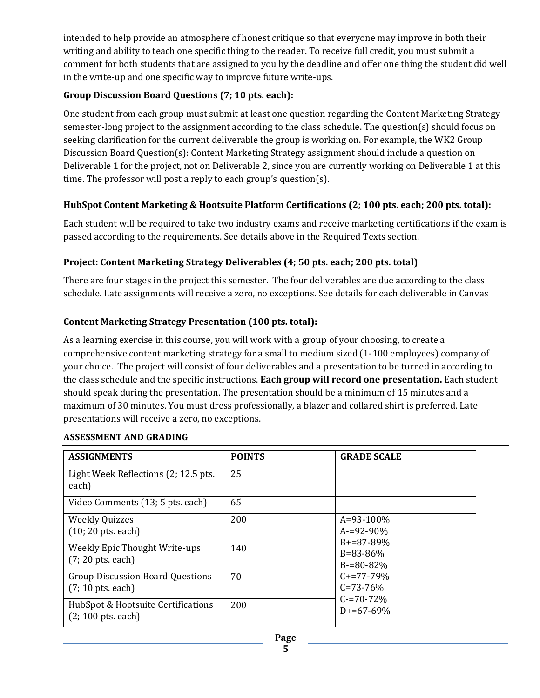intended to help provide an atmosphere of honest critique so that everyone may improve in both their writing and ability to teach one specific thing to the reader. To receive full credit, you must submit a comment for both students that are assigned to you by the deadline and offer one thing the student did well in the write-up and one specific way to improve future write-ups.

# **Group Discussion Board Questions (7; 10 pts. each):**

One student from each group must submit at least one question regarding the Content Marketing Strategy semester-long project to the assignment according to the class schedule. The question(s) should focus on seeking clarification for the current deliverable the group is working on. For example, the WK2 Group Discussion Board Question(s): Content Marketing Strategy assignment should include a question on Deliverable 1 for the project, not on Deliverable 2, since you are currently working on Deliverable 1 at this time. The professor will post a reply to each group's question(s).

### **HubSpot Content Marketing & Hootsuite Platform Certifications (2; 100 pts. each; 200 pts. total):**

Each student will be required to take two industry exams and receive marketing certifications if the exam is passed according to the requirements. See details above in the Required Texts section.

# **Project: Content Marketing Strategy Deliverables (4; 50 pts. each; 200 pts. total)**

There are four stages in the project this semester. The four deliverables are due according to the class schedule. Late assignments will receive a zero, no exceptions. See details for each deliverable in Canvas

### **Content Marketing Strategy Presentation (100 pts. total):**

As a learning exercise in this course, you will work with a group of your choosing, to create a comprehensive content marketing strategy for a small to medium sized (1-100 employees) company of your choice. The project will consist of four deliverables and a presentation to be turned in according to the class schedule and the specific instructions. **Each group will record one presentation.** Each student should speak during the presentation. The presentation should be a minimum of 15 minutes and a maximum of 30 minutes. You must dress professionally, a blazer and collared shirt is preferred. Late presentations will receive a zero, no exceptions.

| <b>ASSIGNMENTS</b>                                             | <b>POINTS</b> | <b>GRADE SCALE</b>                                  |
|----------------------------------------------------------------|---------------|-----------------------------------------------------|
| Light Week Reflections (2; 12.5 pts.<br>each)                  | 25            |                                                     |
| Video Comments (13; 5 pts. each)                               | 65            |                                                     |
| <b>Weekly Quizzes</b><br>$(10; 20$ pts. each)                  | 200           | $A = 93 - 100\%$<br>$A = 92 - 90\%$                 |
| Weekly Epic Thought Write-ups<br>$(7; 20$ pts. each)           | 140           | $B = 87 - 89\%$<br>$B = 83 - 86%$<br>$B = 80 - 82%$ |
| <b>Group Discussion Board Questions</b><br>$(7; 10$ pts. each) | 70            | $C+=77-79%$<br>$C = 73 - 76%$                       |
| HubSpot & Hootsuite Certifications<br>$(2; 100$ pts. each)     | 200           | $C = 70 - 72%$<br>$D+=67-69%$                       |

### **ASSESSMENT AND GRADING**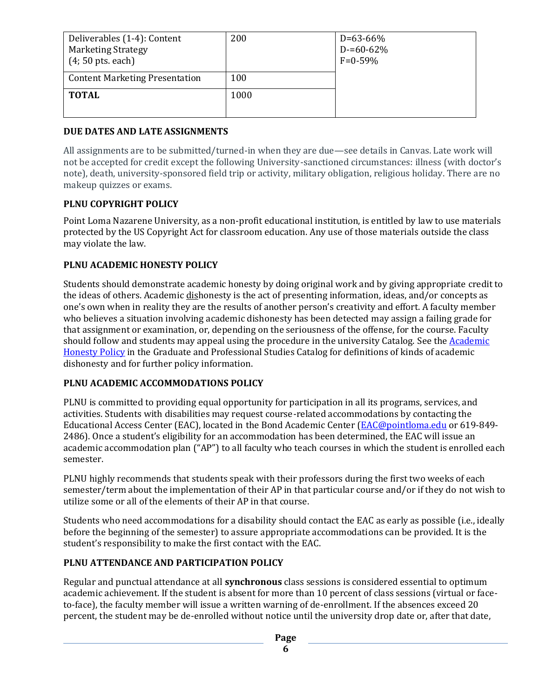| Deliverables (1-4): Content<br><b>Marketing Strategy</b><br>$(4; 50$ pts. each) | 200  | $D = 63 - 66%$<br>$D = 60 - 62%$<br>$F = 0.59\%$ |
|---------------------------------------------------------------------------------|------|--------------------------------------------------|
| <b>Content Marketing Presentation</b>                                           | 100  |                                                  |
| <b>TOTAL</b>                                                                    | 1000 |                                                  |

### **DUE DATES AND LATE ASSIGNMENTS**

All assignments are to be submitted/turned-in when they are due—see details in Canvas. Late work will not be accepted for credit except the following University-sanctioned circumstances: illness (with doctor's note), death, university-sponsored field trip or activity, military obligation, religious holiday. There are no makeup quizzes or exams.

### **PLNU COPYRIGHT POLICY**

Point Loma Nazarene University, as a non-profit educational institution, is entitled by law to use materials protected by the US Copyright Act for classroom education. Any use of those materials outside the class may violate the law.

### **PLNU ACADEMIC HONESTY POLICY**

Students should demonstrate academic honesty by doing original work and by giving appropriate credit to the ideas of others. Academic dishonesty is the act of presenting information, ideas, and/or concepts as one's own when in reality they are the results of another person's creativity and effort. A faculty member who believes a situation involving academic dishonesty has been detected may assign a failing grade for that assignment or examination, or, depending on the seriousness of the offense, for the course. Faculty should follow and students may appeal using the procedure in the university Catalog. See the Academic [Honesty Policy](https://catalog.pointloma.edu/content.php?catoid=54&navoid=3048#Academic_Honesty) in the Graduate and Professional Studies Catalog for definitions of kinds of academic dishonesty and for further policy information.

### **PLNU ACADEMIC ACCOMMODATIONS POLICY**

PLNU is committed to providing equal opportunity for participation in all its programs, services, and activities. Students with disabilities may request course-related accommodations by contacting the Educational Access Center (EAC), located in the Bond Academic Center [\(EAC@pointloma.edu](mailto:EAC@pointloma.edu) or 619-849- 2486). Once a student's eligibility for an accommodation has been determined, the EAC will issue an academic accommodation plan ("AP") to all faculty who teach courses in which the student is enrolled each semester.

PLNU highly recommends that students speak with their professors during the first two weeks of each semester/term about the implementation of their AP in that particular course and/or if they do not wish to utilize some or all of the elements of their AP in that course.

Students who need accommodations for a disability should contact the EAC as early as possible (i.e., ideally before the beginning of the semester) to assure appropriate accommodations can be provided. It is the student's responsibility to make the first contact with the EAC.

# **PLNU ATTENDANCE AND PARTICIPATION POLICY**

Regular and punctual attendance at all **synchronous** class sessions is considered essential to optimum academic achievement. If the student is absent for more than 10 percent of class sessions (virtual or faceto-face), the faculty member will issue a written warning of de-enrollment. If the absences exceed 20 percent, the student may be de-enrolled without notice until the university drop date or, after that date,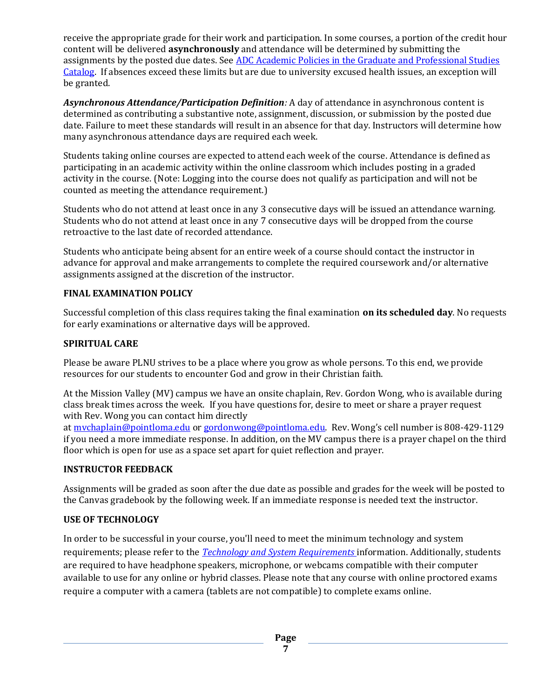receive the appropriate grade for their work and participation. In some courses, a portion of the credit hour content will be delivered **asynchronously** and attendance will be determined by submitting the assignments by the posted due dates. See [ADC Academic Policies in the Graduate and Professional Studies](https://catalog.pointloma.edu/content.php?catoid=54&navoid=3033#acadhonesty)  [Catalog.](https://catalog.pointloma.edu/content.php?catoid=54&navoid=3033#acadhonesty) If absences exceed these limits but are due to university excused health issues, an exception will be granted.

*Asynchronous Attendance/Participation Definition:* A day of attendance in asynchronous content is determined as contributing a substantive note, assignment, discussion, or submission by the posted due date. Failure to meet these standards will result in an absence for that day. Instructors will determine how many asynchronous attendance days are required each week.

Students taking online courses are expected to attend each week of the course. Attendance is defined as participating in an academic activity within the online classroom which includes posting in a graded activity in the course. (Note: Logging into the course does not qualify as participation and will not be counted as meeting the attendance requirement.)

Students who do not attend at least once in any 3 consecutive days will be issued an attendance warning. Students who do not attend at least once in any 7 consecutive days will be dropped from the course retroactive to the last date of recorded attendance.

Students who anticipate being absent for an entire week of a course should contact the instructor in advance for approval and make arrangements to complete the required coursework and/or alternative assignments assigned at the discretion of the instructor.

### **FINAL EXAMINATION POLICY**

Successful completion of this class requires taking the final examination **on its scheduled day**. No requests for early examinations or alternative days will be approved.

### **SPIRITUAL CARE**

Please be aware PLNU strives to be a place where you grow as whole persons. To this end, we provide resources for our students to encounter God and grow in their Christian faith.

At the Mission Valley (MV) campus we have an onsite chaplain, Rev. Gordon Wong, who is available during class break times across the week. If you have questions for, desire to meet or share a prayer request with Rev. Wong you can contact him directly

at [mvchaplain@pointloma.edu](mailto:mvchaplain@pointloma.edu) or [gordonwong@pointloma.edu.](mailto:gordonwong@pointloma.edu) Rev. Wong's cell number is 808-429-1129 if you need a more immediate response. In addition, on the MV campus there is a prayer chapel on the third floor which is open for use as a space set apart for quiet reflection and prayer.

#### **INSTRUCTOR FEEDBACK**

Assignments will be graded as soon after the due date as possible and grades for the week will be posted to the Canvas gradebook by the following week. If an immediate response is needed text the instructor.

### **USE OF TECHNOLOGY**

In order to be successful in your course, you'll need to meet the minimum technology and system requirements; please refer to the *[Technology and System Requirements](https://help.pointloma.edu/TDClient/1808/Portal/KB/ArticleDet?ID=108349)* information. Additionally, students are required to have headphone speakers, microphone, or webcams compatible with their computer available to use for any online or hybrid classes. Please note that any course with online proctored exams require a computer with a camera (tablets are not compatible) to complete exams online.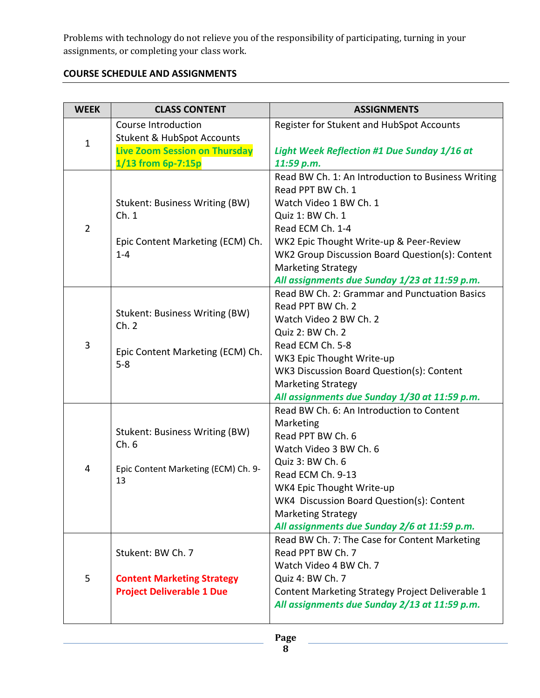Problems with technology do not relieve you of the responsibility of participating, turning in your assignments, or completing your class work.

# **COURSE SCHEDULE AND ASSIGNMENTS**

| <b>WEEK</b>    | <b>CLASS CONTENT</b>                   | <b>ASSIGNMENTS</b>                                                                                |  |
|----------------|----------------------------------------|---------------------------------------------------------------------------------------------------|--|
| $\mathbf{1}$   | Course Introduction                    | Register for Stukent and HubSpot Accounts                                                         |  |
|                | <b>Stukent &amp; HubSpot Accounts</b>  |                                                                                                   |  |
|                | <b>Live Zoom Session on Thursday</b>   | <b>Light Week Reflection #1 Due Sunday 1/16 at</b>                                                |  |
|                | 1/13 from 6p-7:15p                     | 11:59 p.m.<br>Read BW Ch. 1: An Introduction to Business Writing                                  |  |
|                |                                        | Read PPT BW Ch. 1                                                                                 |  |
|                | Stukent: Business Writing (BW)         | Watch Video 1 BW Ch. 1                                                                            |  |
|                | Ch.1                                   | Quiz 1: BW Ch. 1                                                                                  |  |
| $\overline{2}$ |                                        | Read ECM Ch. 1-4                                                                                  |  |
|                | Epic Content Marketing (ECM) Ch.       | WK2 Epic Thought Write-up & Peer-Review                                                           |  |
|                | $1 - 4$                                | WK2 Group Discussion Board Question(s): Content                                                   |  |
|                |                                        | <b>Marketing Strategy</b>                                                                         |  |
|                |                                        | All assignments due Sunday 1/23 at 11:59 p.m.                                                     |  |
|                |                                        | Read BW Ch. 2: Grammar and Punctuation Basics                                                     |  |
|                | Stukent: Business Writing (BW)         | Read PPT BW Ch. 2<br>Watch Video 2 BW Ch. 2                                                       |  |
|                | Ch. 2                                  | Quiz 2: BW Ch. 2                                                                                  |  |
| 3              | Epic Content Marketing (ECM) Ch.       | Read ECM Ch. 5-8                                                                                  |  |
|                |                                        | WK3 Epic Thought Write-up                                                                         |  |
|                | $5 - 8$                                | WK3 Discussion Board Question(s): Content                                                         |  |
|                |                                        | <b>Marketing Strategy</b>                                                                         |  |
|                |                                        | All assignments due Sunday 1/30 at 11:59 p.m.                                                     |  |
|                |                                        | Read BW Ch. 6: An Introduction to Content                                                         |  |
|                | Stukent: Business Writing (BW)<br>Ch.6 | Marketing                                                                                         |  |
|                |                                        | Read PPT BW Ch. 6                                                                                 |  |
|                |                                        | Watch Video 3 BW Ch. 6<br>Quiz 3: BW Ch. 6                                                        |  |
| 4              | Epic Content Marketing (ECM) Ch. 9-    | Read ECM Ch. 9-13                                                                                 |  |
|                | 13                                     | WK4 Epic Thought Write-up                                                                         |  |
|                |                                        | WK4 Discussion Board Question(s): Content                                                         |  |
|                |                                        | <b>Marketing Strategy</b>                                                                         |  |
|                |                                        | All assignments due Sunday 2/6 at 11:59 p.m.                                                      |  |
| 5              |                                        | Read BW Ch. 7: The Case for Content Marketing                                                     |  |
|                | Stukent: BW Ch. 7                      | Read PPT BW Ch. 7                                                                                 |  |
|                |                                        | Watch Video 4 BW Ch. 7                                                                            |  |
|                | <b>Content Marketing Strategy</b>      | Quiz 4: BW Ch. 7                                                                                  |  |
|                | <b>Project Deliverable 1 Due</b>       | Content Marketing Strategy Project Deliverable 1<br>All assignments due Sunday 2/13 at 11:59 p.m. |  |
|                |                                        |                                                                                                   |  |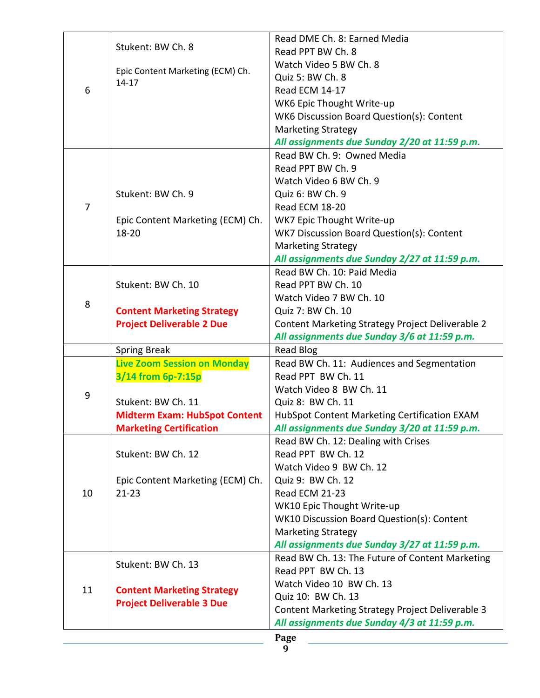|    |                                               | Read DME Ch. 8: Earned Media                         |
|----|-----------------------------------------------|------------------------------------------------------|
| 6  | Stukent: BW Ch. 8                             | Read PPT BW Ch. 8                                    |
|    |                                               | Watch Video 5 BW Ch. 8                               |
|    | Epic Content Marketing (ECM) Ch.<br>$14 - 17$ | Quiz 5: BW Ch. 8                                     |
|    |                                               | Read ECM 14-17                                       |
|    |                                               | WK6 Epic Thought Write-up                            |
|    |                                               | WK6 Discussion Board Question(s): Content            |
|    |                                               | <b>Marketing Strategy</b>                            |
|    |                                               | All assignments due Sunday 2/20 at 11:59 p.m.        |
|    |                                               | Read BW Ch. 9: Owned Media                           |
|    |                                               | Read PPT BW Ch. 9                                    |
|    |                                               | Watch Video 6 BW Ch. 9                               |
|    | Stukent: BW Ch. 9                             | Quiz 6: BW Ch. 9                                     |
| 7  |                                               | Read ECM 18-20                                       |
|    | Epic Content Marketing (ECM) Ch.              | WK7 Epic Thought Write-up                            |
|    | 18-20                                         | WK7 Discussion Board Question(s): Content            |
|    |                                               | <b>Marketing Strategy</b>                            |
|    |                                               | All assignments due Sunday 2/27 at 11:59 p.m.        |
|    |                                               | Read BW Ch. 10: Paid Media                           |
|    | Stukent: BW Ch. 10                            | Read PPT BW Ch. 10                                   |
|    |                                               | Watch Video 7 BW Ch. 10                              |
| 8  | <b>Content Marketing Strategy</b>             | Quiz 7: BW Ch. 10                                    |
|    | <b>Project Deliverable 2 Due</b>              | Content Marketing Strategy Project Deliverable 2     |
|    |                                               | All assignments due Sunday 3/6 at 11:59 p.m.         |
|    | <b>Spring Break</b>                           | <b>Read Blog</b>                                     |
|    | <b>Live Zoom Session on Monday</b>            | Read BW Ch. 11: Audiences and Segmentation           |
|    | 3/14 from 6p-7:15p                            | Read PPT BW Ch. 11                                   |
|    |                                               |                                                      |
|    |                                               | Watch Video 8 BW Ch. 11                              |
| 9  | Stukent: BW Ch. 11                            | Quiz 8: BW Ch. 11                                    |
|    | <b>Midterm Exam: HubSpot Content</b>          | HubSpot Content Marketing Certification EXAM         |
|    | <b>Marketing Certification</b>                | All assignments due Sunday 3/20 at 11:59 p.m.        |
|    |                                               | Read BW Ch. 12: Dealing with Crises                  |
|    | Stukent: BW Ch. 12                            | Read PPT BW Ch. 12                                   |
|    |                                               | Watch Video 9 BW Ch. 12                              |
|    | Epic Content Marketing (ECM) Ch.              | Quiz 9: BW Ch. 12                                    |
| 10 | $21 - 23$                                     | <b>Read ECM 21-23</b>                                |
|    |                                               | WK10 Epic Thought Write-up                           |
|    |                                               | WK10 Discussion Board Question(s): Content           |
|    |                                               | <b>Marketing Strategy</b>                            |
|    |                                               | All assignments due Sunday 3/27 at 11:59 p.m.        |
|    | Stukent: BW Ch. 13                            | Read BW Ch. 13: The Future of Content Marketing      |
|    |                                               | Read PPT BW Ch. 13                                   |
| 11 | <b>Content Marketing Strategy</b>             | Watch Video 10 BW Ch. 13                             |
|    | <b>Project Deliverable 3 Due</b>              | Quiz 10: BW Ch. 13                                   |
|    |                                               | Content Marketing Strategy Project Deliverable 3     |
|    |                                               | All assignments due Sunday 4/3 at 11:59 p.m.<br>Page |